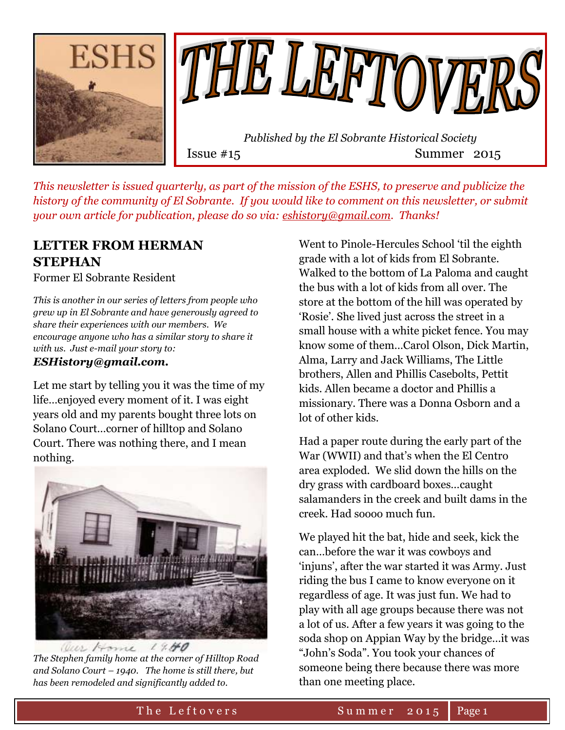



*This newsletter is issued quarterly, as part of the mission of the ESHS, to preserve and publicize the history of the community of El Sobrante. If you would like to comment on this newsletter, or submit your own article for publication, please do so via: [eshistory@gmail.com.](mailto:eshistory@gmail.com) Thanks!*

### **LETTER FROM HERMAN STEPHAN**

Former El Sobrante Resident

*This is another in our series of letters from people who grew up in El Sobrante and have generously agreed to share their experiences with our members. We encourage anyone who has a similar story to share it with us. Just e-mail your story to:* 

### *ESHistory@gmail.com.*

Let me start by telling you it was the time of my life…enjoyed every moment of it. I was eight years old and my parents bought three lots on Solano Court…corner of hilltop and Solano Court. There was nothing there, and I mean nothing.



*The Stephen family home at the corner of Hilltop Road and Solano Court – 1940. The home is still there, but has been remodeled and significantly added to.*

Went to Pinole-Hercules School 'til the eighth grade with a lot of kids from El Sobrante. Walked to the bottom of La Paloma and caught the bus with a lot of kids from all over. The store at the bottom of the hill was operated by 'Rosie'. She lived just across the street in a small house with a white picket fence. You may know some of them…Carol Olson, Dick Martin, Alma, Larry and Jack Williams, The Little brothers, Allen and Phillis Casebolts, Pettit kids. Allen became a doctor and Phillis a missionary. There was a Donna Osborn and a lot of other kids.

Had a paper route during the early part of the War (WWII) and that's when the El Centro area exploded. We slid down the hills on the dry grass with cardboard boxes…caught salamanders in the creek and built dams in the creek. Had soooo much fun.

We played hit the bat, hide and seek, kick the can…before the war it was cowboys and 'injuns', after the war started it was Army. Just riding the bus I came to know everyone on it regardless of age. It was just fun. We had to play with all age groups because there was not a lot of us. After a few years it was going to the soda shop on Appian Way by the bridge…it was "John's Soda". You took your chances of someone being there because there was more than one meeting place.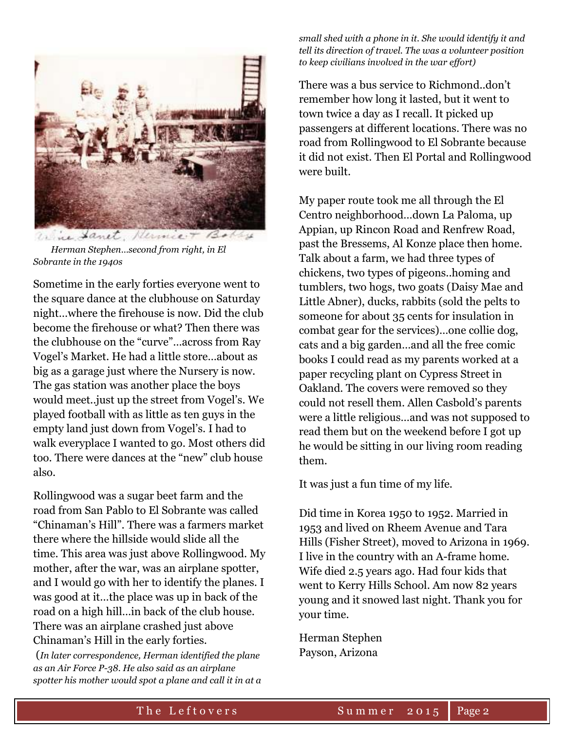

 *Herman Stephen…second from right, in El Sobrante in the 1940s*

Sometime in the early forties everyone went to the square dance at the clubhouse on Saturday night…where the firehouse is now. Did the club become the firehouse or what? Then there was the clubhouse on the "curve"…across from Ray Vogel's Market. He had a little store…about as big as a garage just where the Nursery is now. The gas station was another place the boys would meet..just up the street from Vogel's. We played football with as little as ten guys in the empty land just down from Vogel's. I had to walk everyplace I wanted to go. Most others did too. There were dances at the "new" club house also.

Rollingwood was a sugar beet farm and the road from San Pablo to El Sobrante was called "Chinaman's Hill". There was a farmers market there where the hillside would slide all the time. This area was just above Rollingwood. My mother, after the war, was an airplane spotter, and I would go with her to identify the planes. I was good at it…the place was up in back of the road on a high hill…in back of the club house. There was an airplane crashed just above Chinaman's Hill in the early forties.

(*In later correspondence, Herman identified the plane as an Air Force P-38. He also said as an airplane spotter his mother would spot a plane and call it in at a*  *small shed with a phone in it. She would identify it and tell its direction of travel. The was a volunteer position to keep civilians involved in the war effort)*

There was a bus service to Richmond..don't remember how long it lasted, but it went to town twice a day as I recall. It picked up passengers at different locations. There was no road from Rollingwood to El Sobrante because it did not exist. Then El Portal and Rollingwood were built.

My paper route took me all through the El Centro neighborhood…down La Paloma, up Appian, up Rincon Road and Renfrew Road, past the Bressems, Al Konze place then home. Talk about a farm, we had three types of chickens, two types of pigeons..homing and tumblers, two hogs, two goats (Daisy Mae and Little Abner), ducks, rabbits (sold the pelts to someone for about 35 cents for insulation in combat gear for the services)…one collie dog, cats and a big garden…and all the free comic books I could read as my parents worked at a paper recycling plant on Cypress Street in Oakland. The covers were removed so they could not resell them. Allen Casbold's parents were a little religious…and was not supposed to read them but on the weekend before I got up he would be sitting in our living room reading them.

It was just a fun time of my life.

Did time in Korea 1950 to 1952. Married in 1953 and lived on Rheem Avenue and Tara Hills (Fisher Street), moved to Arizona in 1969. I live in the country with an A-frame home. Wife died 2.5 years ago. Had four kids that went to Kerry Hills School. Am now 82 years young and it snowed last night. Thank you for your time.

Herman Stephen Payson, Arizona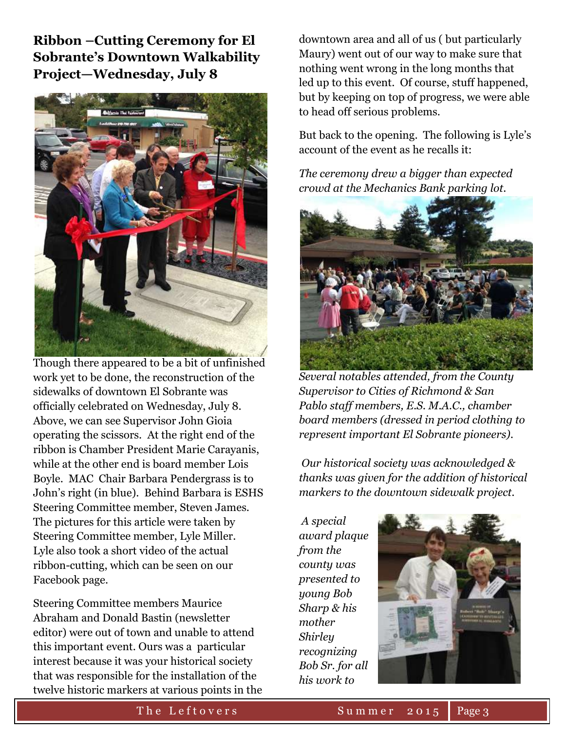**Ribbon –Cutting Ceremony for El Sobrante's Downtown Walkability Project—Wednesday, July 8**



Though there appeared to be a bit of unfinished work yet to be done, the reconstruction of the sidewalks of downtown El Sobrante was officially celebrated on Wednesday, July 8. Above, we can see Supervisor John Gioia operating the scissors. At the right end of the ribbon is Chamber President Marie Carayanis, while at the other end is board member Lois Boyle. MAC Chair Barbara Pendergrass is to John's right (in blue). Behind Barbara is ESHS Steering Committee member, Steven James. The pictures for this article were taken by Steering Committee member, Lyle Miller. Lyle also took a short video of the actual ribbon-cutting, which can be seen on our Facebook page.

Steering Committee members Maurice Abraham and Donald Bastin (newsletter editor) were out of town and unable to attend this important event. Ours was a particular interest because it was your historical society that was responsible for the installation of the twelve historic markers at various points in the

downtown area and all of us ( but particularly Maury) went out of our way to make sure that nothing went wrong in the long months that led up to this event. Of course, stuff happened, but by keeping on top of progress, we were able to head off serious problems.

But back to the opening. The following is Lyle's account of the event as he recalls it:

*The ceremony drew a bigger than expected crowd at the Mechanics Bank parking lot.* 



*Several notables attended, from the County Supervisor to Cities of Richmond & San Pablo staff members, E.S. M.A.C., chamber board members (dressed in period clothing to represent important El Sobrante pioneers).*

*Our historical society was acknowledged & thanks was given for the addition of historical markers to the downtown sidewalk project.*

*A special award plaque from the county was presented to young Bob Sharp & his mother Shirley recognizing Bob Sr. for all his work to* 

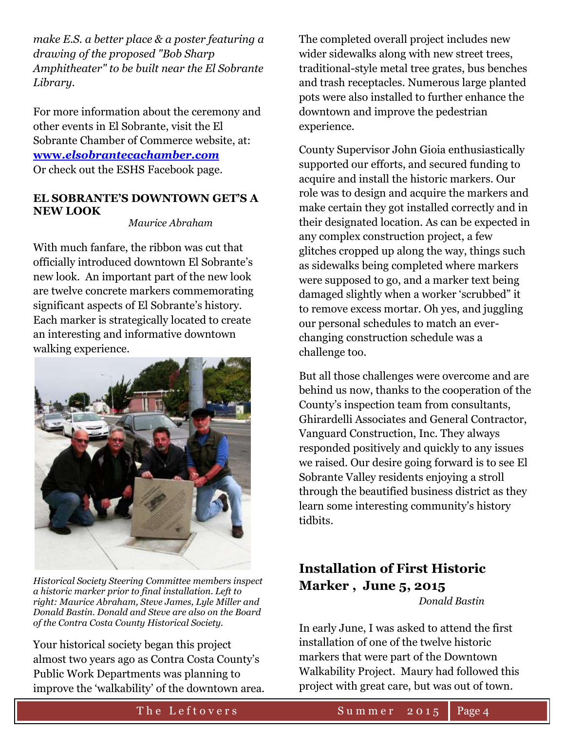*make E.S. a better place & a poster featuring a drawing of the proposed "Bob Sharp Amphitheater" to be built near the El Sobrante Library.*

For more information about the ceremony and other events in El Sobrante, visit the El Sobrante Chamber of Commerce website, at: **www.***[elsobrantecachamber.com](www.elsobrantecachamber.com)* Or check out the ESHS Facebook page.

#### **EL SOBRANTE'S DOWNTOWN GET'S A NEW LOOK**

 *Maurice Abraham*

With much fanfare, the ribbon was cut that officially introduced downtown El Sobrante's new look. An important part of the new look are twelve concrete markers commemorating significant aspects of El Sobrante's history. Each marker is strategically located to create an interesting and informative downtown walking experience.



*Historical Society Steering Committee members inspect a historic marker prior to final installation. Left to right: Maurice Abraham, Steve James, Lyle Miller and Donald Bastin. Donald and Steve are also on the Board of the Contra Costa County Historical Society.*

Your historical society began this project almost two years ago as Contra Costa County's Public Work Departments was planning to improve the 'walkability' of the downtown area.

The completed overall project includes new wider sidewalks along with new street trees, traditional-style metal tree grates, bus benches and trash receptacles. Numerous large planted pots were also installed to further enhance the downtown and improve the pedestrian experience.

County Supervisor John Gioia enthusiastically supported our efforts, and secured funding to acquire and install the historic markers. Our role was to design and acquire the markers and make certain they got installed correctly and in their designated location. As can be expected in any complex construction project, a few glitches cropped up along the way, things such as sidewalks being completed where markers were supposed to go, and a marker text being damaged slightly when a worker 'scrubbed" it to remove excess mortar. Oh yes, and juggling our personal schedules to match an everchanging construction schedule was a challenge too.

But all those challenges were overcome and are behind us now, thanks to the cooperation of the County's inspection team from consultants, Ghirardelli Associates and General Contractor, Vanguard Construction, Inc. They always responded positively and quickly to any issues we raised. Our desire going forward is to see El Sobrante Valley residents enjoying a stroll through the beautified business district as they learn some interesting community's history tidbits.

## **Installation of First Historic Marker , June 5, 2015**

 *Donald Bastin*

In early June, I was asked to attend the first installation of one of the twelve historic markers that were part of the Downtown Walkability Project. Maury had followed this project with great care, but was out of town.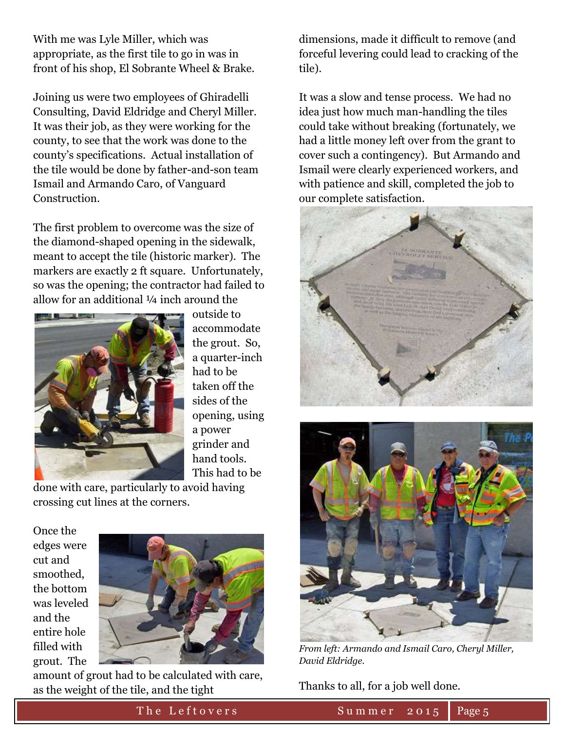With me was Lyle Miller, which was appropriate, as the first tile to go in was in front of his shop, El Sobrante Wheel & Brake.

Joining us were two employees of Ghiradelli Consulting, David Eldridge and Cheryl Miller. It was their job, as they were working for the county, to see that the work was done to the county's specifications. Actual installation of the tile would be done by father-and-son team Ismail and Armando Caro, of Vanguard Construction.

The first problem to overcome was the size of the diamond-shaped opening in the sidewalk, meant to accept the tile (historic marker). The markers are exactly 2 ft square. Unfortunately, so was the opening; the contractor had failed to allow for an additional ¼ inch around the



outside to accommodate the grout. So, a quarter-inch had to be taken off the sides of the opening, using a power grinder and hand tools. This had to be

done with care, particularly to avoid having crossing cut lines at the corners.

Once the edges were cut and smoothed, the bottom was leveled and the entire hole filled with grout. The



amount of grout had to be calculated with care, as the weight of the tile, and the tight

dimensions, made it difficult to remove (and forceful levering could lead to cracking of the tile).

It was a slow and tense process. We had no idea just how much man-handling the tiles could take without breaking (fortunately, we had a little money left over from the grant to cover such a contingency). But Armando and Ismail were clearly experienced workers, and with patience and skill, completed the job to our complete satisfaction.





*From left: Armando and Ismail Caro, Cheryl Miller, David Eldridge.*

Thanks to all, for a job well done.